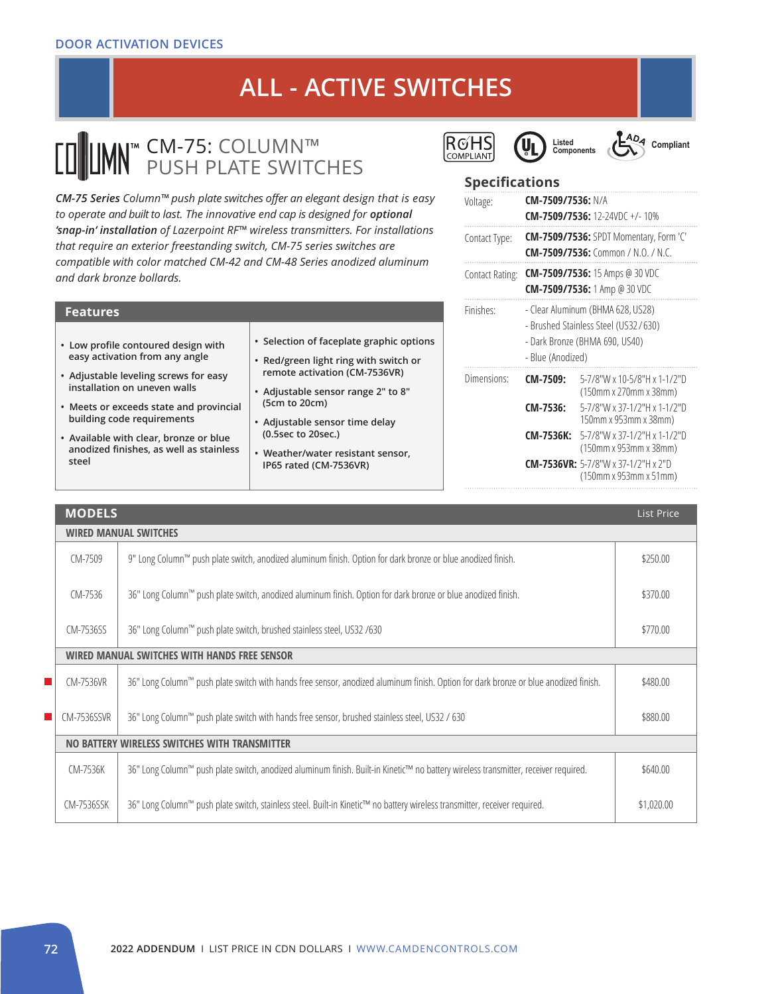# **ALL - ACTIVE SWITCHES**

### CM-75: COLUMN™ PUSH PLATE SWITCHES

*CM-75 Series Column™ push plate switches offer an elegant design that is easy*  to operate and built to last. The innovative end cap is designed for *optional 'snap-in' installation of Lazerpoint RF™ wireless transmitters. For installations that require an exterior freestanding switch, CM-75 series switches are compatible with color matched CM-42 and CM-48 Series anodized aluminum and dark bronze bollards.* 

| • Selection of faceplate graphic options<br>• Low profile contoured design with<br>easy activation from any angle<br>• Red/green light ring with switch or<br>remote activation (CM-7536VR)<br>• Adjustable leveling screws for easy<br>installation on uneven walls<br>• Adjustable sensor range 2" to 8"<br>(5cm to 20cm)<br>• Meets or exceeds state and provincial<br>building code requirements<br>• Adjustable sensor time delay<br>(0.5sec to 20sec.)<br>• Available with clear, bronze or blue<br>anodized finishes, as well as stainless<br>• Weather/water resistant sensor,<br>steel<br>IP65 rated (CM-7536VR) | <b>Features</b> |  |  |  |  |  |
|---------------------------------------------------------------------------------------------------------------------------------------------------------------------------------------------------------------------------------------------------------------------------------------------------------------------------------------------------------------------------------------------------------------------------------------------------------------------------------------------------------------------------------------------------------------------------------------------------------------------------|-----------------|--|--|--|--|--|
|                                                                                                                                                                                                                                                                                                                                                                                                                                                                                                                                                                                                                           |                 |  |  |  |  |  |







### **Specifications**

| Voltage:        | CM-7509/7536: N/A |                                                                                                             |
|-----------------|-------------------|-------------------------------------------------------------------------------------------------------------|
|                 |                   | <b>CM-7509/7536:</b> 12-24VDC +/-10%                                                                        |
| Contact Type:   |                   | <b>CM-7509/7536:</b> SPDT Momentary, Form 'C'<br><b>CM-7509/7536:</b> Common / N.O. / N.C.                  |
| Contact Rating: |                   | <b>CM-7509/7536:</b> 15 Amps @ 30 VDC<br><b>CM-7509/7536:</b> 1 Amp @ 30 VDC                                |
| Finishes:       | - Blue (Anodized) | - Clear Aluminum (BHMA 628, US28)<br>- Brushed Stainless Steel (US32/630)<br>- Dark Bronze (BHMA 690, US40) |
| Dimensions:     | CM-7509:          | 5-7/8"W x 10-5/8"H x 1-1/2"D<br>(150mm x 270mm x 38mm)                                                      |
|                 | CM-7536:          | 5-7/8"W x 37-1/2"H x 1-1/2"D<br>150mm x 953mm x 38mm)                                                       |
|                 | <b>CM-7536K:</b>  | 5-7/8"W x 37-1/2"H x 1-1/2"D<br>(150mm x 953mm x 38mm)                                                      |
|                 |                   | <b>CM-7536VR:</b> 5-7/8"W x 37-1/2"H x 2"D<br>(150mm x 953mm x 51mm)                                        |

|   | <b>MODELS</b>                                |                                                                                                                                      |            |  |  |
|---|----------------------------------------------|--------------------------------------------------------------------------------------------------------------------------------------|------------|--|--|
|   | <b>WIRED MANUAL SWITCHES</b>                 |                                                                                                                                      |            |  |  |
|   | CM-7509                                      | 9" Long Column™ push plate switch, anodized aluminum finish. Option for dark bronze or blue anodized finish.                         | \$250.00   |  |  |
|   | CM-7536                                      | 36" Long Column™ push plate switch, anodized aluminum finish. Option for dark bronze or blue anodized finish.                        | \$370.00   |  |  |
|   | CM-7536SS                                    | 36" Long Column™ push plate switch, brushed stainless steel, US32 /630                                                               | \$770.00   |  |  |
|   | WIRED MANUAL SWITCHES WITH HANDS FREE SENSOR |                                                                                                                                      |            |  |  |
| П | CM-7536VR                                    | 36" Long Column™ push plate switch with hands free sensor, anodized aluminum finish. Option for dark bronze or blue anodized finish. | \$480.00   |  |  |
|   | CM-7536SSVR                                  | 36" Long Column™ push plate switch with hands free sensor, brushed stainless steel, US32 / 630                                       | \$880.00   |  |  |
|   |                                              | NO BATTERY WIRELESS SWITCHES WITH TRANSMITTER                                                                                        |            |  |  |
|   | CM-7536K                                     | 36" Long Column™ push plate switch, anodized aluminum finish. Built-in Kinetic™ no battery wireless transmitter, receiver required.  | \$640.00   |  |  |
|   | CM-7536SSK                                   | 36" Long Column™ push plate switch, stainless steel. Built-in Kinetic™ no battery wireless transmitter, receiver required.           | \$1,020.00 |  |  |